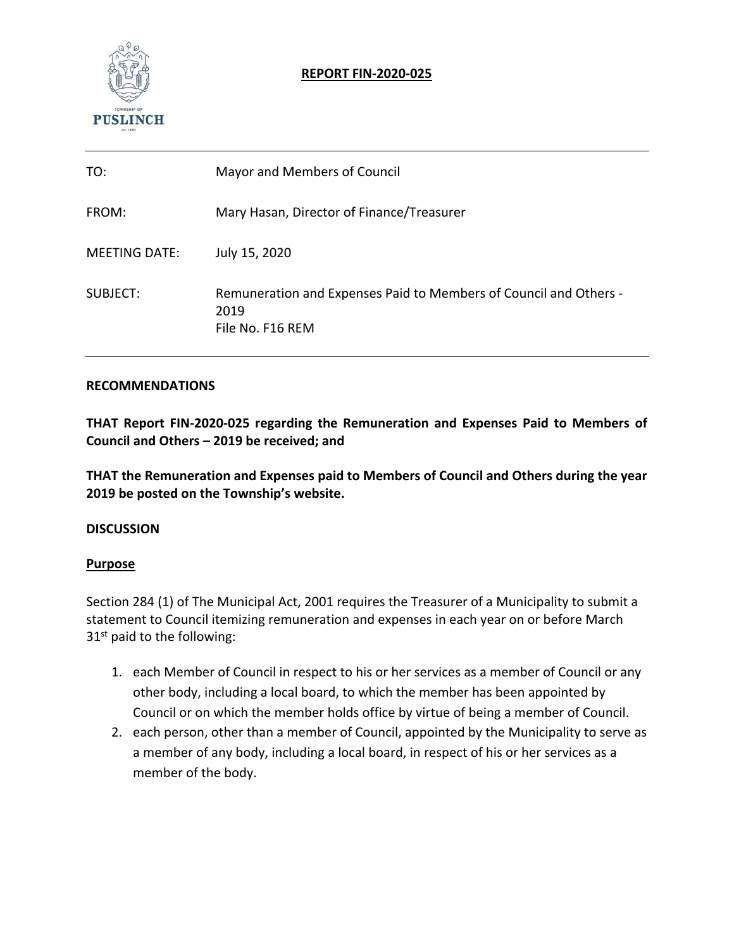

## **REPORT FIN‐2020‐025**

| TO:                  | Mayor and Members of Council                                                                  |
|----------------------|-----------------------------------------------------------------------------------------------|
| FROM:                | Mary Hasan, Director of Finance/Treasurer                                                     |
| <b>MEETING DATE:</b> | July 15, 2020                                                                                 |
| SUBJECT:             | Remuneration and Expenses Paid to Members of Council and Others -<br>2019<br>File No. F16 REM |

### **RECOMMENDATIONS**

**THAT Report FIN‐2020‐025 regarding the Remuneration and Expenses Paid to Members of Council and Others – 2019 be received; and** 

**THAT the Remuneration and Expenses paid to Members of Council and Others during the year 2019 be posted on the Township's website.** 

#### **DISCUSSION**

#### **Purpose**

Section 284 (1) of The Municipal Act, 2001 requires the Treasurer of a Municipality to submit a statement to Council itemizing remuneration and expenses in each year on or before March  $31<sup>st</sup>$  paid to the following:

- 1. each Member of Council in respect to his or her services as a member of Council or any other body, including a local board, to which the member has been appointed by Council or on which the member holds office by virtue of being a member of Council.
- 2. each person, other than a member of Council, appointed by the Municipality to serve as a member of any body, including a local board, in respect of his or her services as a member of the body.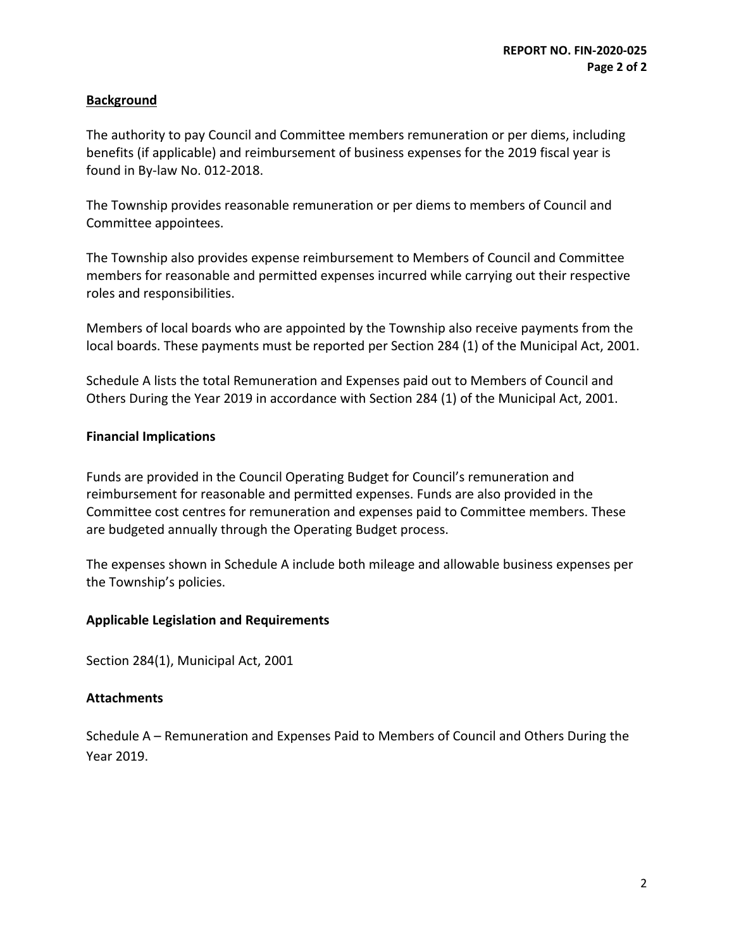## **Background**

The authority to pay Council and Committee members remuneration or per diems, including benefits (if applicable) and reimbursement of business expenses for the 2019 fiscal year is found in By‐law No. 012‐2018.

The Township provides reasonable remuneration or per diems to members of Council and Committee appointees.

The Township also provides expense reimbursement to Members of Council and Committee members for reasonable and permitted expenses incurred while carrying out their respective roles and responsibilities.

Members of local boards who are appointed by the Township also receive payments from the local boards. These payments must be reported per Section 284 (1) of the Municipal Act, 2001.

Schedule A lists the total Remuneration and Expenses paid out to Members of Council and Others During the Year 2019 in accordance with Section 284 (1) of the Municipal Act, 2001.

### **Financial Implications**

Funds are provided in the Council Operating Budget for Council's remuneration and reimbursement for reasonable and permitted expenses. Funds are also provided in the Committee cost centres for remuneration and expenses paid to Committee members. These are budgeted annually through the Operating Budget process.

The expenses shown in Schedule A include both mileage and allowable business expenses per the Township's policies.

### **Applicable Legislation and Requirements**

Section 284(1), Municipal Act, 2001

### **Attachments**

Schedule A – Remuneration and Expenses Paid to Members of Council and Others During the Year 2019.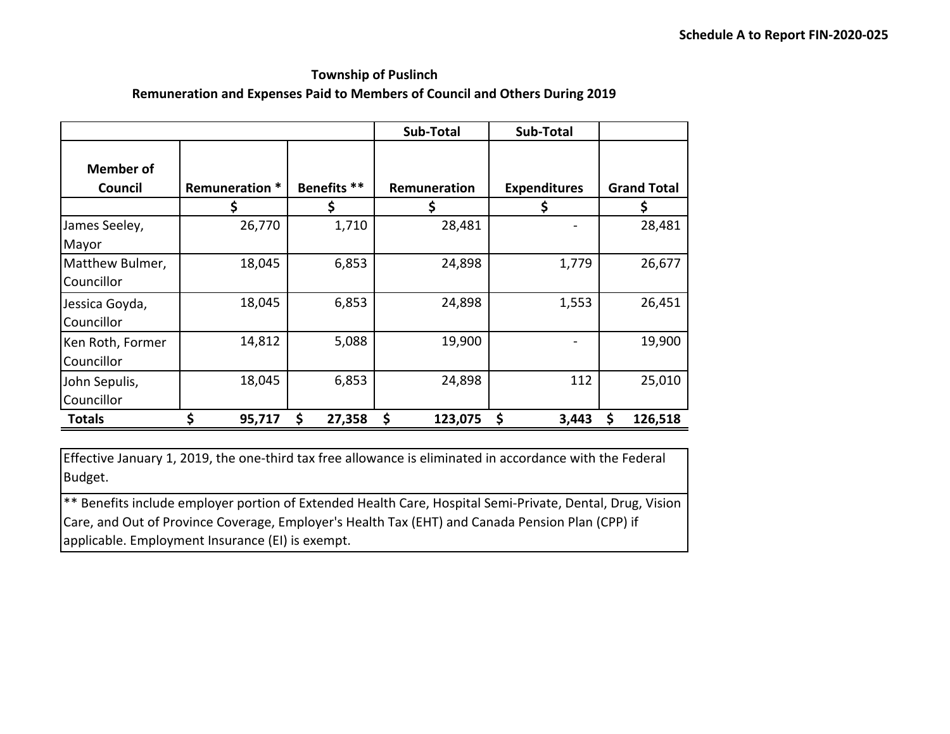# **Township of Puslinch Remuneration and Expenses Paid to Members of Council and Others During 2019**

|                             |                |              | Sub-Total     | Sub-Total           |                    |
|-----------------------------|----------------|--------------|---------------|---------------------|--------------------|
| <b>Member of</b><br>Council | Remuneration * | Benefits **  | Remuneration  | <b>Expenditures</b> | <b>Grand Total</b> |
|                             |                | \$           |               | Ş                   | S                  |
| James Seeley,               | 26,770         | 1,710        | 28,481        |                     | 28,481             |
| Mayor                       |                |              |               |                     |                    |
| Matthew Bulmer,             | 18,045         | 6,853        | 24,898        | 1,779               | 26,677             |
| Councillor                  |                |              |               |                     |                    |
| Jessica Goyda,              | 18,045         | 6,853        | 24,898        | 1,553               | 26,451             |
| Councillor                  |                |              |               |                     |                    |
| Ken Roth, Former            | 14,812         | 5,088        | 19,900        |                     | 19,900             |
| Councillor                  |                |              |               |                     |                    |
| John Sepulis,               | 18,045         | 6,853        | 24,898        | 112                 | 25,010             |
| Councillor                  |                |              |               |                     |                    |
| Totals                      | \$<br>95,717   | \$<br>27,358 | \$<br>123,075 | \$<br>3,443         | \$<br>126,518      |

Effective January 1, 2019, the one‐third tax free allowance is eliminated in accordance with the Federal Budget.

\*\* Benefits include employer portion of Extended Health Care, Hospital Semi‐Private, Dental, Drug, Vision Care, and Out of Province Coverage, Employer's Health Tax (EHT) and Canada Pension Plan (CPP) if applicable. Employment Insurance (EI) is exempt.